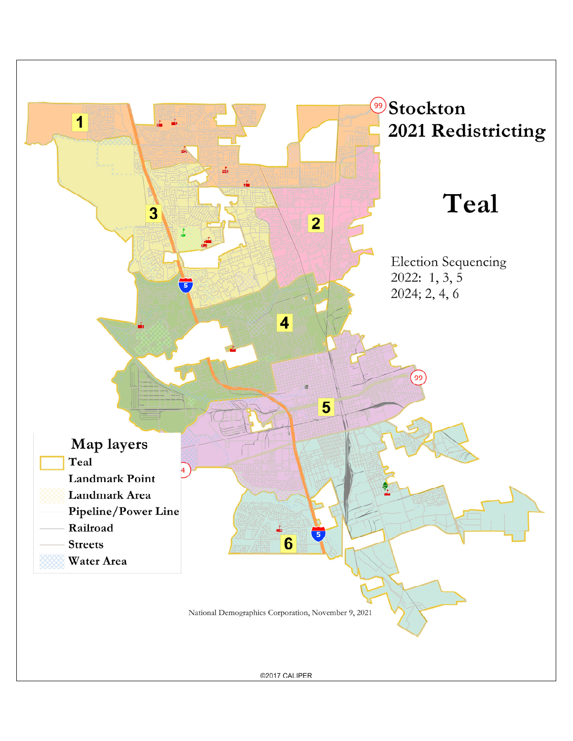